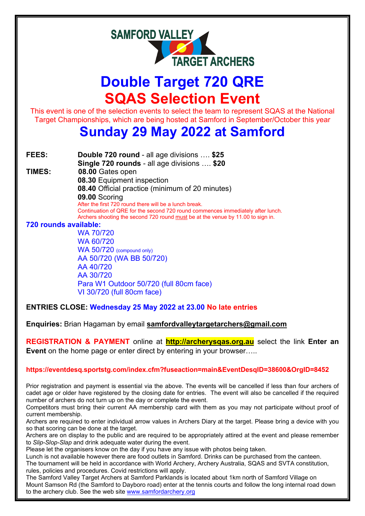

# **Double Target 720 QRE SQAS Selection Event**

This event is one of the selection events to select the team to represent SQAS at the National Target Championships, which are being hosted at Samford in September/October this year

## **Sunday 29 May 2022 at Samford**

**FEES: Double 720 round** - all age divisions …. **\$25 Single 720 rounds** - all age divisions …. **\$20 TIMES: 08.00** Gates open

**08.30** Equipment inspection

**08.40** Official practice (minimum of 20 minutes)

**09.00** Scoring

After the first 720 round there will be a lunch break. Continuation of QRE for the second 720 round commences immediately after lunch. Archers shooting the second 720 round must be at the venue by 11.00 to sign in.

**720 rounds available:**

WA 70/720 WA 60/720 WA 50/720 (compound only) AA 50/720 (WA BB 50/720) AA 40/720 AA 30/720 Para W1 Outdoor 50/720 (full 80cm face) VI 30/720 (full 80cm face)

**ENTRIES CLOSE: Wednesday 25 May 2022 at 23.00 No late entries**

**Enquiries:** Brian Hagaman by email **samfordvalleytargetarchers@gmail.com**

**REGISTRATION & PAYMENT** online at **http://archerysqas.org.au** select the link **Enter an Event** on the home page or enter direct by entering in your browser…..

### **<https://eventdesq.sportstg.com/index.cfm?fuseaction=main&EventDesqID=38600&OrgID=8452>**

Prior registration and payment is essential via the above. The events will be cancelled if less than four archers of cadet age or older have registered by the closing date for entries. The event will also be cancelled if the required number of archers do not turn up on the day or complete the event.

Competitors must bring their current AA membership card with them as you may not participate without proof of current membership.

Archers are required to enter individual arrow values in Archers Diary at the target. Please bring a device with you so that scoring can be done at the target.

Archers are on display to the public and are required to be appropriately attired at the event and please remember to *Slip-Slop-Slap* and drink adequate water during the event.

Please let the organisers know on the day if you have any issue with photos being taken.

Lunch is not available however there are food outlets in Samford. Drinks can be purchased from the canteen. The tournament will be held in accordance with World Archery, Archery Australia, SQAS and SVTA constitution,

rules, policies and procedures. Covid restrictions will apply. The Samford Valley Target Archers at Samford Parklands is located about 1km north of Samford Village on

Mount Samson Rd (the Samford to Dayboro road) enter at the tennis courts and follow the long internal road down to the archery club. See the web site [www.samfordarchery.org](http://www.samfordarchery.org/)